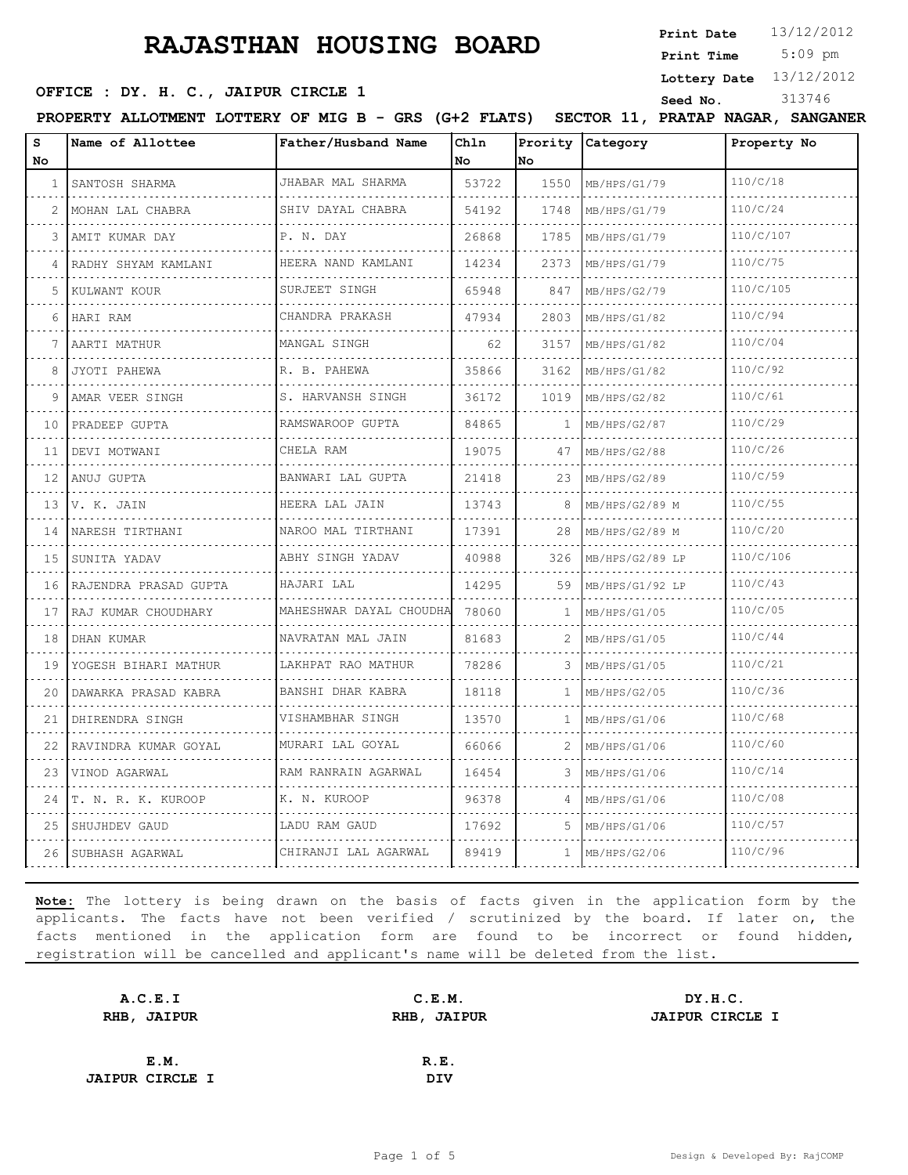5:09 pm **Print Date**  $13/12/2012$ **Print Time**

**Lottery Date** 13/12/2012

**OFFICE : DY. H. C., JAIPUR CIRCLE 1** Seed No. 313746

PROPERTY ALLOTMENT LOTTERY OF MIG B - GRS (G+2 FLATS) SECTOR 11, PRATAP NAGAR, SANGANER

| s<br>No. | Name of Allottee          | Father/Husband Name          | Chln<br>No | Prority<br><b>No</b> | Category        | Property No |
|----------|---------------------------|------------------------------|------------|----------------------|-----------------|-------------|
| 1        | SANTOSH SHARMA            | JHABAR MAL SHARMA            | 53722      | 1550                 | MB/HPS/G1/79    | 110/C/18    |
| 2        | MOHAN LAL CHABRA          | SHIV DAYAL CHABRA            | 54192      | 1748                 | MB/HPS/G1/79    | 110/C/24    |
| 3        | AMIT KUMAR DAY            | P. N. DAY                    | 26868      | 1785                 | MB/HPS/G1/79    | 110/C/107   |
| 4        | RADHY SHYAM KAMLANI       | HEERA NAND KAMLANI           | 14234      | 2373                 | MB/HPS/G1/79    | 110/C/75    |
| 5        | KULWANT KOUR              | SURJEET SINGH                | 65948      | 847                  | MB/HPS/G2/79    | 110/C/105   |
| 6        | HARI RAM                  | CHANDRA PRAKASH              | 47934      | 2803                 | MB/HPS/G1/82    | 110/C/94    |
|          | AARTI MATHUR              | MANGAL SINGH                 | 62         | 3157                 | MB/HPS/G1/82    | 110/C/04    |
| 8        | JYOTI PAHEWA              | R. B. PAHEWA                 | 35866      | 3162                 | MB/HPS/G1/82    | 110/C/92    |
| 9        | AMAR VEER SINGH           | S. HARVANSH SINGH            | 36172      | 1019                 | MB/HPS/G2/82    | 110/C/61    |
| 10       | PRADEEP GUPTA             | RAMSWAROOP GUPTA             | 84865      | $\mathbf{1}$         | MB/HPS/G2/87    | 110/C/29    |
| 11       | DEVI MOTWANI              | CHELA RAM                    | 19075      | 47                   | MB/HPS/G2/88    | 110/C/26    |
| 12       | ANUJ GUPTA                | BANWARI LAL GUPTA            | 21418      | 23                   | MB/HPS/G2/89    | 110/C/59    |
| 13       | V. K. JAIN                | HEERA LAL JAIN<br>.          | 13743      | 8                    | MB/HPS/G2/89 M  | 110/C/55    |
| 14       | NARESH TIRTHANI           | NAROO MAL TIRTHANI           | 17391      | 28                   | MB/HPS/G2/89 M  | 110/C/20    |
| 15       | SUNITA YADAV              | ABHY SINGH YADAV             | 40988      | 326                  | MB/HPS/G2/89 LP | 110/C/106   |
| 16       | RAJENDRA PRASAD GUPTA     | HAJARI LAL                   | 14295      | 59                   | MB/HPS/G1/92 LP | 110/C/43    |
| 17       | RAJ KUMAR CHOUDHARY       | MAHESHWAR DAYAL CHOUDHA      | 78060      | 1                    | MB/HPS/G1/05    | 110/C/05    |
| 18       | DHAN KUMAR                | NAVRATAN MAL JAIN            | 81683      | 2                    | MB/HPS/G1/05    | 110/C/44    |
| 19       | YOGESH BIHARI MATHUR<br>. | LAKHPAT RAO MATHUR<br>.      | 78286      | 3                    | MB/HPS/G1/05    | 110/C/21    |
| 20       | DAWARKA PRASAD KABRA      | BANSHI DHAR KABRA            | 18118      | 1                    | MB/HPS/G2/05    | 110/C/36    |
| 21       | DHIRENDRA SINGH           | VISHAMBHAR SINGH             | 13570      | 1                    | MB/HPS/G1/06    | 110/C/68    |
| 22       | RAVINDRA KUMAR GOYAL      | MURARI LAL GOYAL<br><u>.</u> | 66066      | 2                    | MB/HPS/G1/06    | 110/C/60    |
| 23       | VINOD AGARWAL             | RAM RANRAIN AGARWAL          | 16454      | 3                    | MB/HPS/G1/06    | 110/C/14    |
| 24       | T. N. R. K. KUROOP        | K. N. KUROOP                 | 96378      | 4                    | MB/HPS/G1/06    | 110/C/08    |
| 25       | SHUJHDEV GAUD             | LADU RAM GAUD                | 17692      | 5.                   | MB/HPS/G1/06    | 110/C/57    |
| 26       | SUBHASH AGARWAL           | CHIRANJI LAL AGARWAL         | 89419      | $\mathbf{1}$         | MB/HPS/G2/06    | 110/C/96    |

| A.C.E.I                | C.E.M.             | DY.H.C.                |
|------------------------|--------------------|------------------------|
| RHB, JAIPUR            | <b>RHB, JAIPUR</b> | <b>JAIPUR CIRCLE I</b> |
|                        |                    |                        |
| E.M.                   | R.E.               |                        |
| <b>JAIPUR CIRCLE I</b> | <b>DIV</b>         |                        |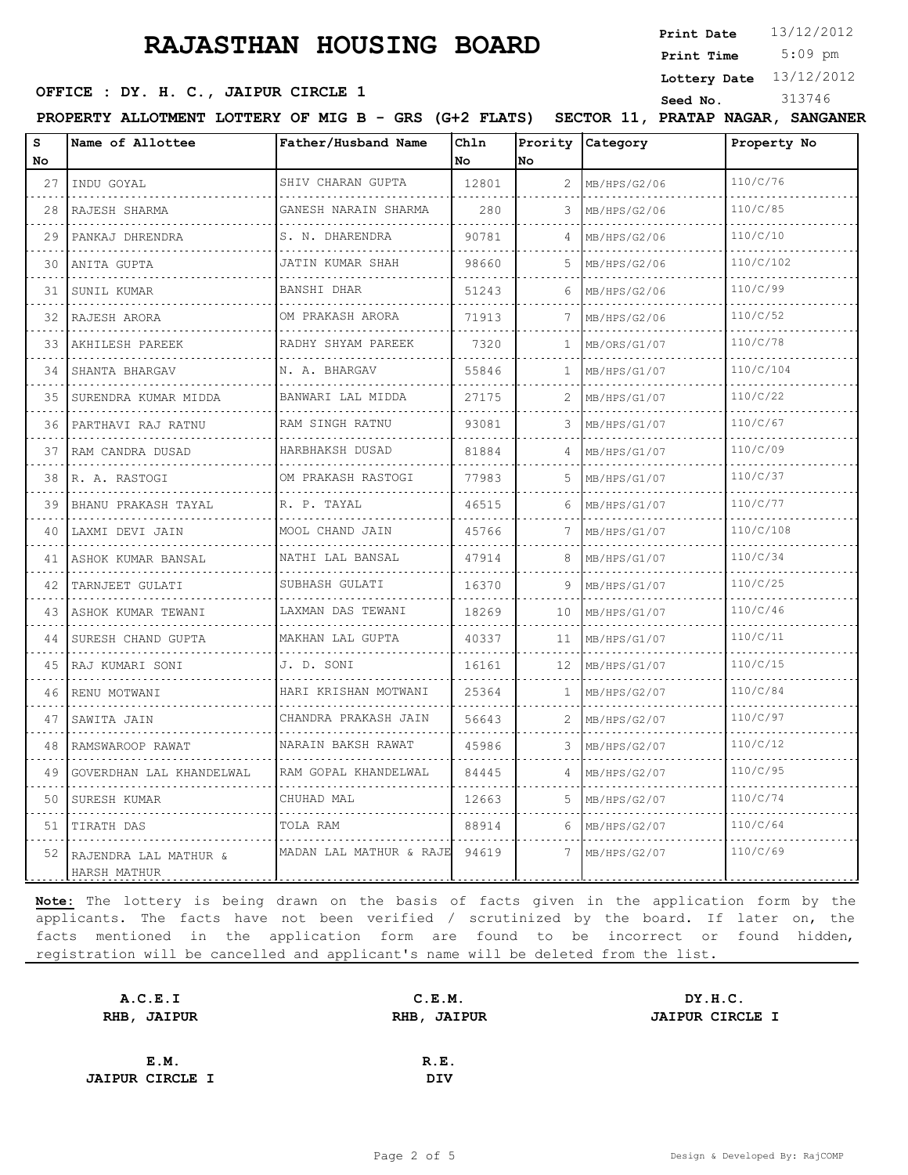5:09 pm **Print Date**  $13/12/2012$ **Print Time**

**Lottery Date** 13/12/2012

### **OFFICE : DY. H. C., JAIPUR CIRCLE 1** Seed No. 313746

**PROPERTY ALLOTMENT LOTTERY OF MIG B - GRS (G+2 FLATS) SECTOR 11, PRATAP NAGAR, SANGANER** 

| s<br>No | Name of Allottee                         | Father/Husband Name       | Chln<br>No | Prority<br>No | Category     | Property No |
|---------|------------------------------------------|---------------------------|------------|---------------|--------------|-------------|
| 27      | INDU GOYAL                               | SHIV CHARAN GUPTA         | 12801      | 2             | MB/HPS/G2/06 | 110/C/76    |
| 28      | RAJESH SHARMA                            | .<br>GANESH NARAIN SHARMA | 280        | 3             | MB/HPS/G2/06 | 110/C/85    |
| 29      | PANKAJ DHRENDRA                          | S. N. DHARENDRA           | 90781      | 4             | MB/HPS/G2/06 | 110/C/10    |
| 30      | ANITA GUPTA                              | JATIN KUMAR SHAH          | 98660      | 5             | MB/HPS/G2/06 | 110/C/102   |
| 31      | SUNIL KUMAR                              | BANSHI DHAR<br><u>.</u>   | 51243      | 6             | MB/HPS/G2/06 | 110/C/99    |
| 32      | RAJESH ARORA                             | OM PRAKASH ARORA<br>.     | 71913      | 7             | MB/HPS/G2/06 | 110/C/52    |
| 33      | AKHILESH PAREEK                          | RADHY SHYAM PAREEK        | 7320       | 1             | MB/ORS/G1/07 | 110/C/78    |
| 34      | SHANTA BHARGAV                           | .<br>N. A. BHARGAV        | 55846      | 1             | MB/HPS/G1/07 | 110/C/104   |
| 35      | SURENDRA KUMAR MIDDA                     | BANWARI LAL MIDDA         | 27175      | 2             | MB/HPS/G1/07 | 110/C/22    |
| 36      | PARTHAVI RAJ RATNU                       | RAM SINGH RATNU           | 93081      | 3             | MB/HPS/G1/07 | 110/C/67    |
| 37      | RAM CANDRA DUSAD                         | HARBHAKSH DUSAD<br>.      | 81884      | 4             | MB/HPS/G1/07 | 110/C/09    |
| 38      | R. A. RASTOGI                            | OM PRAKASH RASTOGI        | 77983      |               | MB/HPS/G1/07 | 110/C/37    |
| 39      | BHANU PRAKASH TAYAL                      | R. P. TAYAL               | 46515      | 6             | MB/HPS/G1/07 | 110/C/77    |
| 40      | LAXMI DEVI JAIN                          | MOOL CHAND JAIN           | 45766      | 7             | MB/HPS/G1/07 | 110/C/108   |
| 41      | ASHOK KUMAR BANSAL                       | NATHI LAL BANSAL<br>.     | 47914      | 8             | MB/HPS/G1/07 | 110/C/34    |
| 42      | .<br>TARNJEET GULATI                     | SUBHASH GULATI            | 16370      | 9             | MB/HPS/G1/07 | 110/C/25    |
| 43      | ASHOK KUMAR TEWANI                       | LAXMAN DAS TEWANI<br>.    | 18269      | 10            | MB/HPS/G1/07 | 110/C/46    |
| 44      | SURESH CHAND GUPTA                       | MAKHAN LAL GUPTA          | 40337      | 11            | MB/HPS/G1/07 | 110/C/11    |
| 45      | RAJ KUMARI SONI                          | J. D. SONI                | 16161      | 12            | MB/HPS/G1/07 | 110/C/15    |
| 46      | RENU MOTWANI                             | HARI KRISHAN MOTWANI      | 25364      | 1             | MB/HPS/G2/07 | 110/C/84    |
| 47      | SAWITA JAIN                              | CHANDRA PRAKASH JAIN<br>. | 56643      | 2             | MB/HPS/G2/07 | 110/C/97    |
| 48      | RAMSWAROOP RAWAT                         | NARAIN BAKSH RAWAT        | 45986      | 3             | MB/HPS/G2/07 | 110/C/12    |
| 49      | GOVERDHAN LAL KHANDELWAL                 | RAM GOPAL KHANDELWAL      | 84445      | 4             | MB/HPS/G2/07 | 110/C/95    |
| 50      | SURESH KUMAR                             | .<br>CHUHAD MAL           | 12663      | 5.            | MB/HPS/G2/07 | 110/C/74    |
| 51      | TIRATH DAS                               | TOLA RAM                  | 88914      | 6             | MB/HPS/G2/07 | 110/C/64    |
|         | 52 RAJENDRA LAL MATHUR &<br>HARSH MATHUR | MADAN LAL MATHUR & RAJE   | 94619      | 7             | MB/HPS/G2/07 | 110/C/69    |

| A.C.E.I                | C.E.M.             | DY.H.C.                |  |  |  |
|------------------------|--------------------|------------------------|--|--|--|
| <b>RHB, JAIPUR</b>     | <b>RHB, JAIPUR</b> | <b>JAIPUR CIRCLE I</b> |  |  |  |
|                        |                    |                        |  |  |  |
| E.M.                   | R.E.               |                        |  |  |  |
| <b>JAIPUR CIRCLE I</b> | DIV                |                        |  |  |  |
|                        |                    |                        |  |  |  |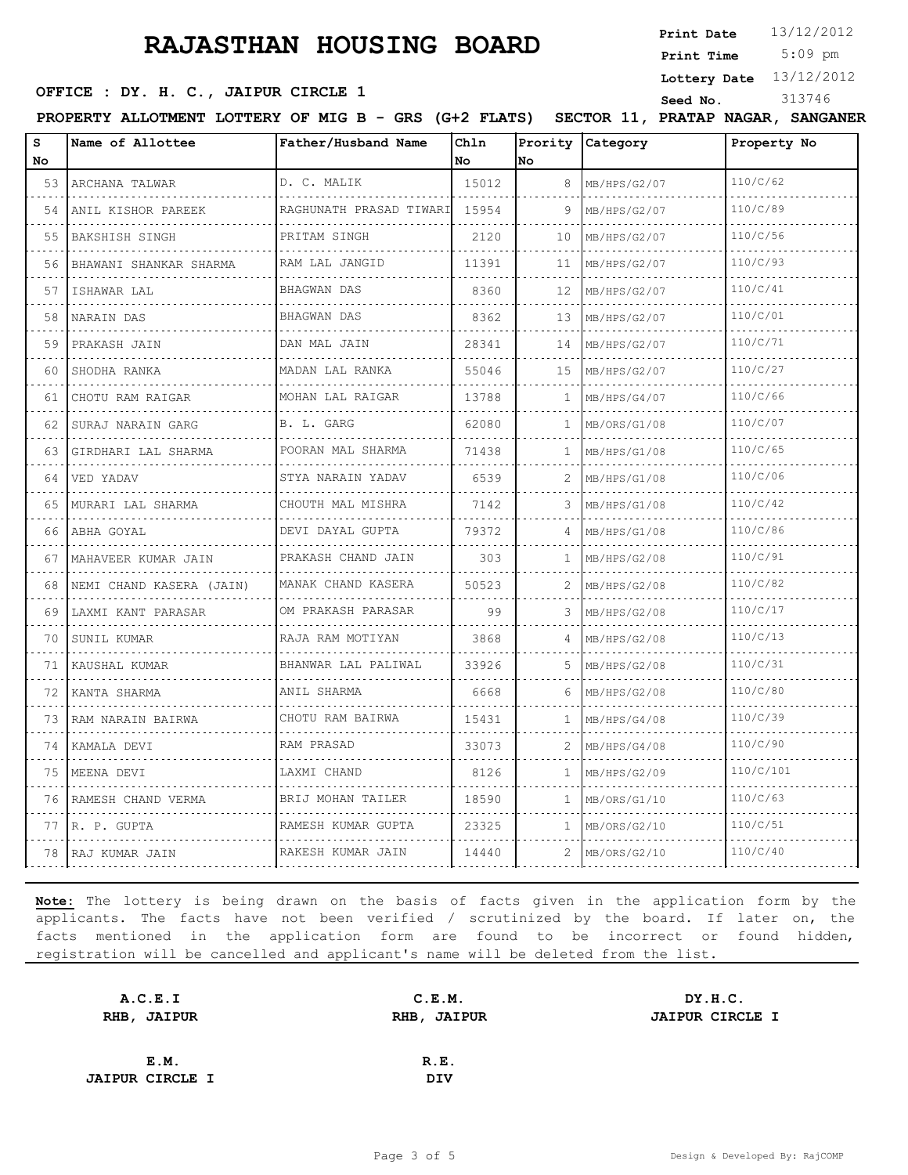**Print Date**  $13/12/2012$ 

### **OFFICE : DY. H. C., JAIPUR CIRCLE 1** Seed No. 313746

 5:09 pm **Print Time**

**Lottery Date** 13/12/2012

PROPERTY ALLOTMENT LOTTERY OF MIG B - GRS (G+2 FLATS) SECTOR 11, PRATAP NAGAR, SANGANER

| s<br>No. | Name of Allottee         | Father/Husband Name     | Chln<br>No | Prority<br>lno | Category     | Property No |
|----------|--------------------------|-------------------------|------------|----------------|--------------|-------------|
| 53       | ARCHANA TALWAR           | D. C. MALIK             | 15012      | 8              | MB/HPS/G2/07 | 110/C/62    |
| 54       | .<br>ANIL KISHOR PAREEK  | RAGHUNATH PRASAD TIWARI | 15954      | 9              | MB/HPS/G2/07 | 110/C/89    |
| 55       | BAKSHISH SINGH           | PRITAM SINGH            | 2120       | 10             | MB/HPS/G2/07 | 110/C/56    |
| 56       | BHAWANI SHANKAR SHARMA   | RAM LAL JANGID          | 11391      | 11             | MB/HPS/G2/07 | 110/C/93    |
| 57       | ISHAWAR LAL              | BHAGWAN DAS             | 8360       | 12             | MB/HPS/G2/07 | 110/C/41    |
| 58       | NARAIN DAS               | <b>BHAGWAN DAS</b>      | 8362       | 13             | MB/HPS/G2/07 | 110/C/01    |
| 59       | PRAKASH JAIN             | DAN MAL JAIN            | 28341      | 14             | MB/HPS/G2/07 | 110/C/71    |
| 60       | SHODHA RANKA             | MADAN LAL RANKA         | 55046      | 15             | MB/HPS/G2/07 | 110/C/27    |
| 61       | CHOTU RAM RAIGAR         | MOHAN LAL RAIGAR        | 13788      | $\mathbf{1}$   | MB/HPS/G4/07 | 110/C/66    |
| 62       | SURAJ NARAIN GARG        | B. L. GARG              | 62080      | $\mathbf{1}$   | MB/ORS/G1/08 | 110/C/07    |
| 63       | GIRDHARI LAL SHARMA      | POORAN MAL SHARMA       | 71438      | $\mathbf{1}$   | MB/HPS/G1/08 | 110/C/65    |
| 64       | VED YADAV                | STYA NARAIN YADAV<br>.  | 6539       | 2              | MB/HPS/G1/08 | 110/C/06    |
| 65       | MURARI LAL SHARMA        | CHOUTH MAL MISHRA       | 7142       | 3              | MB/HPS/G1/08 | 110/C/42    |
| 66       | ABHA GOYAL               | DEVI DAYAL GUPTA        | 79372      | 4              | MB/HPS/G1/08 | 110/C/86    |
| 67       | MAHAVEER KUMAR JAIN      | PRAKASH CHAND JAIN      | 303        | $\mathbf{1}$   | MB/HPS/G2/08 | 110/C/91    |
| 68       | NEMI CHAND KASERA (JAIN) | MANAK CHAND KASERA      | 50523      | 2              | MB/HPS/G2/08 | 110/C/82    |
| 69       | LAXMI KANT PARASAR       | OM PRAKASH PARASAR      | 99         |                | MB/HPS/G2/08 | 110/C/17    |
| 70       | SUNIL KUMAR              | RAJA RAM MOTIYAN        | 3868       | 4              | MB/HPS/G2/08 | 110/C/13    |
| 71       | KAUSHAL KUMAR            | BHANWAR LAL PALIWAL     | 33926      | 5.             | MB/HPS/G2/08 | 110/C/31    |
| 72       | KANTA SHARMA             | ANIL SHARMA             | 6668       | 6              | MB/HPS/G2/08 | 110/C/80    |
| 73       | RAM NARAIN BAIRWA        | CHOTU RAM BAIRWA        | 15431      | $\mathbf{1}$   | MB/HPS/G4/08 | 110/C/39    |
| 74       | KAMALA DEVI              | RAM PRASAD              | 33073      | 2              | MB/HPS/G4/08 | 110/C/90    |
| 75       | MEENA DEVI               | LAXMI CHAND             | 8126       | $\mathbf{1}$   | MB/HPS/G2/09 | 110/C/101   |
| 76       | RAMESH CHAND VERMA       | BRIJ MOHAN TAILER       | 18590      | $\mathbf{1}$   | MB/ORS/G1/10 | 110/C/63    |
| 77       | R. P. GUPTA              | RAMESH KUMAR GUPTA      | 23325      | $\mathbf{1}$   | MB/ORS/G2/10 | 110/C/51    |
|          | 78 RAJ KUMAR JAIN        | RAKESH KUMAR JAIN       | 14440      | 2.             | MB/ORS/G2/10 | 110/C/40    |

| A.C.E.I                | C.E.M.      | DY.H.C.                |
|------------------------|-------------|------------------------|
| RHB, JAIPUR            | RHB, JAIPUR | <b>JAIPUR CIRCLE I</b> |
|                        |             |                        |
| E.M.                   | R.E.        |                        |
| <b>JAIPUR CIRCLE I</b> | <b>DIV</b>  |                        |
|                        |             |                        |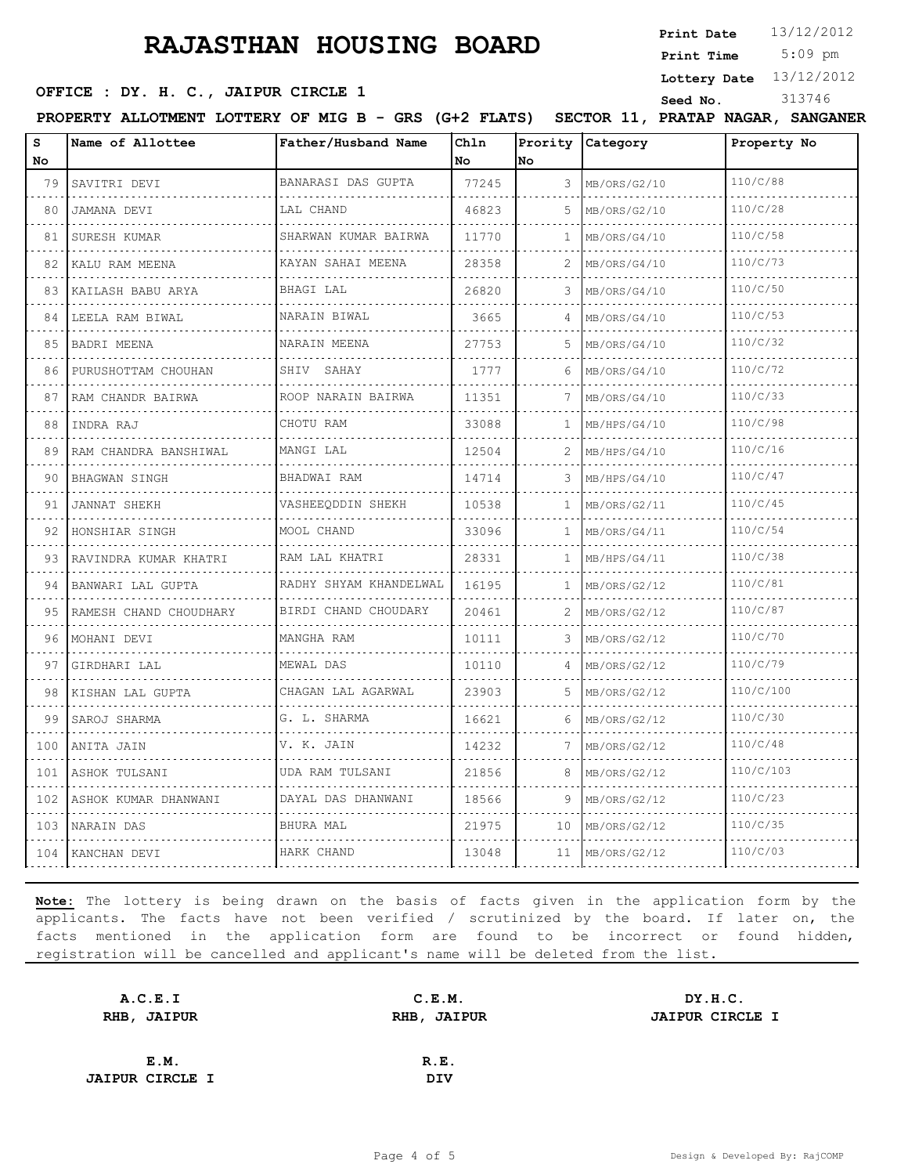**Print Date**  $13/12/2012$ 

5:09 pm **Print Time**

**OFFICE : DY. H. C., JAIPUR CIRCLE 1** Seed No. 313746

**Lottery Date** 13/12/2012

| <b>PROPERTY</b> | <b>ALLOTMENT</b> | <b>LOTTERY</b> | OF | MIG B | <b>CDS</b><br>تمحدت | (G+) | <b>FLATS</b> | - -<br><b>SECTOR</b><br>ᆠᆂ | <b>PRATAP</b> | <b>NAGAR</b> | <b>SANGANEF</b> |  |
|-----------------|------------------|----------------|----|-------|---------------------|------|--------------|----------------------------|---------------|--------------|-----------------|--|
|                 |                  |                |    |       |                     |      |              |                            |               |              |                 |  |

| s<br>No | Name of Allottee       | Father/Husband Name    | Ch1n<br>No | No       | Prority Category | Property No |
|---------|------------------------|------------------------|------------|----------|------------------|-------------|
| 79      | SAVITRI DEVI           | BANARASI DAS GUPTA     | 77245      | 3        | MB/ORS/G2/10     | 110/C/88    |
| 80      | JAMANA DEVI            | LAL CHAND              | 46823      | 5        | MB/ORS/G2/10     | 110/C/28    |
| 81      | SURESH KUMAR           | SHARWAN KUMAR BAIRWA   | 11770      | 1        | MB/ORS/G4/10     | 110/C/58    |
| 82      | KALU RAM MEENA         | KAYAN SAHAI MEENA      | 28358      | 2        | MB/ORS/G4/10     | 110/C/73    |
| 83      | KAILASH BABU ARYA      | BHAGI LAL              | 26820      | 3        | MB/ORS/G4/10     | 110/C/50    |
| 84      | LEELA RAM BIWAL        | NARAIN BIWAL           | 3665       | 4        | MB/ORS/G4/10     | 110/C/53    |
| 85      | BADRI MEENA            | NARAIN MEENA<br>.      | 27753      | 5        | MB/ORS/G4/10     | 110/C/32    |
| 86      | PURUSHOTTAM CHOUHAN    | SHIV SAHAY             | 1777       | 6        | MB/ORS/G4/10     | 110/C/72    |
| 87      | RAM CHANDR BAIRWA      | ROOP NARAIN BAIRWA     | 11351      | 7        | MB/ORS/G4/10     | 110/C/33    |
| 88      | INDRA RAJ              | CHOTU RAM              | 33088      | 1        | MB/HPS/G4/10     | 110/C/98    |
| 89      | RAM CHANDRA BANSHIWAL  | MANGI LAL              | 12504      | 2        | MB/HPS/G4/10     | 110/C/16    |
| 90      | BHAGWAN SINGH          | BHADWAI RAM            | 14714      | 3        | MB/HPS/G4/10     | 110/C/47    |
| 91      | <b>JANNAT SHEKH</b>    | VASHEEQDDIN SHEKH      | 10538      | 1        | MB/ORS/G2/11     | 110/C/45    |
| 92      | HONSHIAR SINGH         | MOOL CHAND             | 33096      | 1        | MB/ORS/G4/11     | 110/C/54    |
| 93      | RAVINDRA KUMAR KHATRI  | RAM LAL KHATRI         | 28331      | 1        | MB/HPS/G4/11     | 110/C/38    |
| 94      | BANWARI LAL GUPTA<br>. | RADHY SHYAM KHANDELWAL | 16195      | 1        | MB/ORS/G2/12     | 110/C/81    |
| 95      | RAMESH CHAND CHOUDHARY | BIRDI CHAND CHOUDARY   | 20461      | 2        | MB/ORS/G2/12     | 110/C/87    |
| 96      | MOHANI DEVI            | MANGHA RAM             | 10111      | 3        | MB/ORS/G2/12     | 110/C/70    |
| 97      | GIRDHARI LAL           | MEWAL DAS              | 10110      | $\Delta$ | MB/ORS/G2/12     | 110/C/79    |
| 98      | KISHAN LAL GUPTA       | CHAGAN LAL AGARWAL     | 23903      | 5        | MB/ORS/G2/12     | 110/C/100   |
| 99      | SAROJ SHARMA           | G. L. SHARMA           | 16621      | 6        | MB/ORS/G2/12     | 110/C/30    |
| 100     | ANITA JAIN             | V. K. JAIN<br><u>.</u> | 14232      | 7        | MB/ORS/G2/12     | 110/C/48    |
| 101     | ASHOK TULSANI          | UDA RAM TULSANI        | 21856      | 8        | MB/ORS/G2/12     | 110/C/103   |
| 102     | ASHOK KUMAR DHANWANI   | DAYAL DAS DHANWANI     | 18566      | 9        | MB/ORS/G2/12     | 110/C/23    |
|         | 103   NARAIN DAS       | BHURA MAL              | 21975      | 10       | MB/ORS/G2/12     | 110/C/35    |
|         | 104 KANCHAN DEVI       | HARK CHAND             | 13048      | 11       | MB/ORS/G2/12     | 110/C/03    |

| A.C.E.I                | C.E.M.      | DY.H.C.                |
|------------------------|-------------|------------------------|
| RHB, JAIPUR            | RHB, JAIPUR | <b>JAIPUR CIRCLE I</b> |
|                        |             |                        |
| E.M.                   | R.E.        |                        |
| <b>JAIPUR CIRCLE I</b> | <b>DIV</b>  |                        |